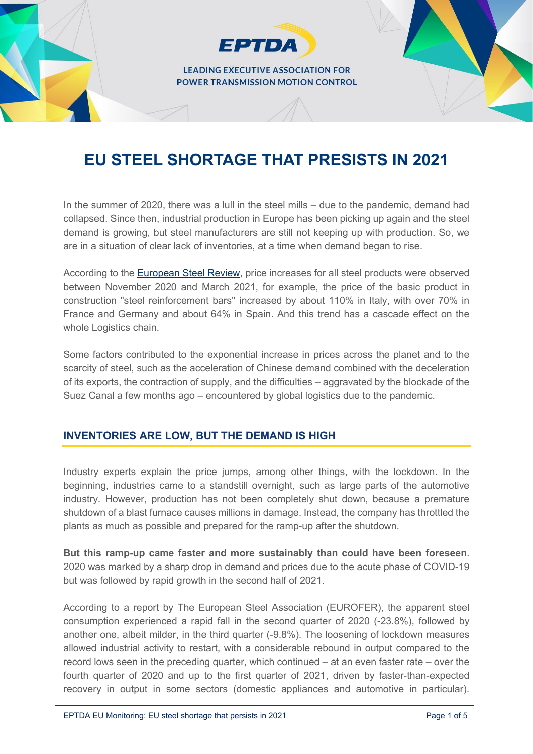**LEADING EXECUTIVE ASSOCIATION FOR POWER TRANSMISSION MOTION CONTROL** 

**EPTDA** 

# **EU STEEL SHORTAGE THAT PRESISTS IN 2021**

In the summer of 2020, there was a lull in the steel mills – due to the pandemic, demand had collapsed. Since then, industrial production in Europe has been picking up again and the steel demand is growing, but steel manufacturers are still not keeping up with production. So, we are in a situation of clear lack of inventories, at a time when demand began to rise.

According to the [European Steel Review,](https://www.fiec.eu/application/files/4516/2080/8787/2021-05-06-FIEC_Letter_to_EU_Commission-Price_increase-construction_materials.pdf) price increases for all steel products were observed between November 2020 and March 2021, for example, the price of the basic product in construction "steel reinforcement bars'' increased by about 110% in Italy, with over 70% in France and Germany and about 64% in Spain. And this trend has a cascade effect on the whole Logistics chain.

Some factors contributed to the exponential increase in prices across the planet and to the scarcity of steel, such as the acceleration of Chinese demand combined with the deceleration of its exports, the contraction of supply, and the difficulties – aggravated by the blockade of the Suez Canal a few months ago – encountered by global logistics due to the pandemic.

## **INVENTORIES ARE LOW, BUT THE DEMAND IS HIGH**

Industry experts explain the price jumps, among other things, with the lockdown. In the beginning, industries came to a standstill overnight, such as large parts of the automotive industry. However, production has not been completely shut down, because a premature shutdown of a blast furnace causes millions in damage. Instead, the company has throttled the plants as much as possible and prepared for the ramp-up after the shutdown.

**But this ramp-up came faster and more sustainably than could have been foreseen**. 2020 was marked by a sharp drop in demand and prices due to the acute phase of COVID-19 but was followed by rapid growth in the second half of 2021.

According to a report by The European Steel Association (EUROFER), the apparent steel consumption experienced a rapid fall in the second quarter of 2020 (-23.8%), followed by another one, albeit milder, in the third quarter (-9.8%). The loosening of lockdown measures allowed industrial activity to restart, with a considerable rebound in output compared to the record lows seen in the preceding quarter, which continued – at an even faster rate – over the fourth quarter of 2020 and up to the first quarter of 2021, driven by faster-than-expected recovery in output in some sectors (domestic appliances and automotive in particular).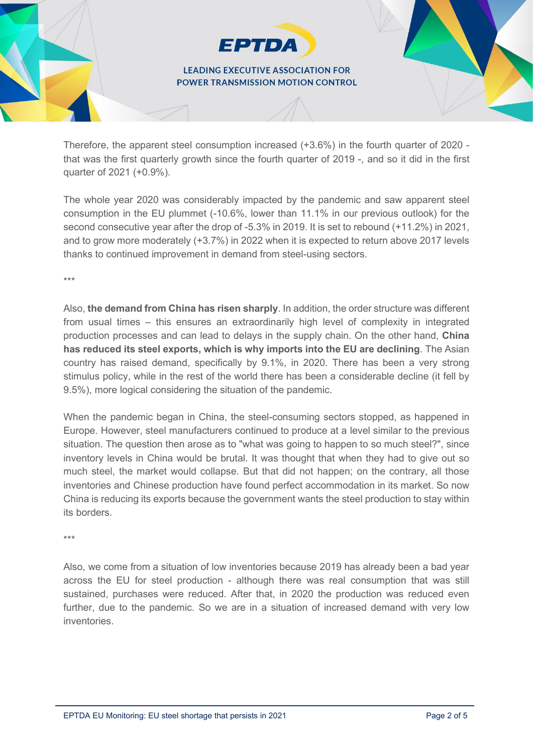### **LEADING EXECUTIVE ASSOCIATION FOR POWER TRANSMISSION MOTION CONTROL**

**EPTDA** 

Therefore, the apparent steel consumption increased (+3.6%) in the fourth quarter of 2020 that was the first quarterly growth since the fourth quarter of 2019 -, and so it did in the first quarter of 2021 (+0.9%).

The whole year 2020 was considerably impacted by the pandemic and saw apparent steel consumption in the EU plummet (-10.6%, lower than 11.1% in our previous outlook) for the second consecutive year after the drop of -5.3% in 2019. It is set to rebound (+11.2%) in 2021, and to grow more moderately (+3.7%) in 2022 when it is expected to return above 2017 levels thanks to continued improvement in demand from steel-using sectors.

\*\*\*

Also, **the demand from China has risen sharply**. In addition, the order structure was different from usual times – this ensures an extraordinarily high level of complexity in integrated production processes and can lead to delays in the supply chain. On the other hand, **China has reduced its steel exports, which is why imports into the EU are declining**. The Asian country has raised demand, specifically by 9.1%, in 2020. There has been a very strong stimulus policy, while in the rest of the world there has been a considerable decline (it fell by 9.5%), more logical considering the situation of the pandemic.

When the pandemic began in China, the steel-consuming sectors stopped, as happened in Europe. However, steel manufacturers continued to produce at a level similar to the previous situation. The question then arose as to "what was going to happen to so much steel?", since inventory levels in China would be brutal. It was thought that when they had to give out so much steel, the market would collapse. But that did not happen; on the contrary, all those inventories and Chinese production have found perfect accommodation in its market. So now China is reducing its exports because the government wants the steel production to stay within its borders.

\*\*\*

Also, we come from a situation of low inventories because 2019 has already been a bad year across the EU for steel production - although there was real consumption that was still sustained, purchases were reduced. After that, in 2020 the production was reduced even further, due to the pandemic. So we are in a situation of increased demand with very low inventories.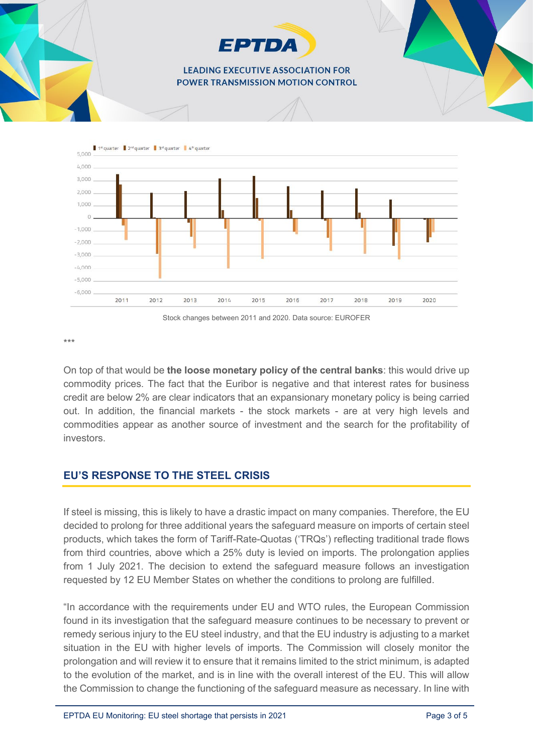

On top of that would be **the loose monetary policy of the central banks**: this would drive up commodity prices. The fact that the Euribor is negative and that interest rates for business credit are below 2% are clear indicators that an expansionary monetary policy is being carried out. In addition, the financial markets - the stock markets - are at very high levels and commodities appear as another source of investment and the search for the profitability of investors.

Stock changes between 2011 and 2020. Data source: EUROFER

2016

 $2017$ 

2018

2019

2020

2015

# **EU'S RESPONSE TO THE STEEL CRISIS**

2012

2011

 $2013$ 

2014

\*\*\*

 $-5.000$  $-6.000$ 

If steel is missing, this is likely to have a drastic impact on many companies. Therefore, the EU decided to prolong for three additional years the safeguard measure on imports of certain steel products, which takes the form of Tariff-Rate-Quotas ('TRQs') reflecting traditional trade flows from third countries, above which a 25% duty is levied on imports. The prolongation applies from 1 July 2021. The decision to extend the safeguard measure follows an investigation requested by 12 EU Member States on whether the conditions to prolong are fulfilled.

"In accordance with the requirements under EU and WTO rules, the European Commission found in its investigation that the safeguard measure continues to be necessary to prevent or remedy serious injury to the EU steel industry, and that the EU industry is adjusting to a market situation in the EU with higher levels of imports. The Commission will closely monitor the prolongation and will review it to ensure that it remains limited to the strict minimum, is adapted to the evolution of the market, and is in line with the overall interest of the EU. This will allow the Commission to change the functioning of the safeguard measure as necessary. In line with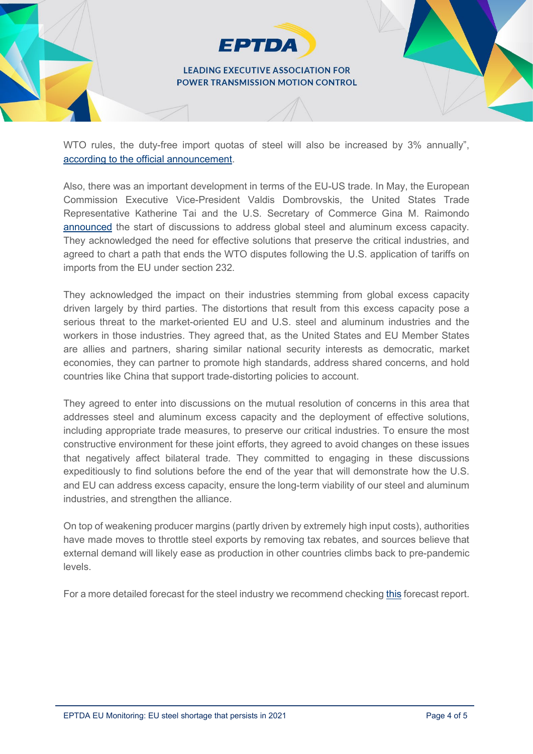#### **LEADING EXECUTIVE ASSOCIATION FOR POWER TRANSMISSION MOTION CONTROL**

**EPTDA** 

WTO rules, the duty-free import quotas of steel will also be increased by 3% annually", [according to the official announcement.](https://trade.ec.europa.eu/doclib/press/index.cfm?id=2280)

Also, there was an important development in terms of the EU-US trade. In May, the European Commission Executive Vice-President Valdis Dombrovskis, the United States Trade Representative Katherine Tai and the U.S. Secretary of Commerce Gina M. Raimondo [announced](https://ec.europa.eu/commission/presscorner/detail/en/statement_21_2525?fbclid=IwAR3SMFtLT8ffVZMApB6RA7DIDNXgLsqp8nK7lCpm6YHpqF4E8yPZDxnQRZs) the start of discussions to address global steel and aluminum excess capacity. They acknowledged the need for effective solutions that preserve the critical industries, and agreed to chart a path that ends the WTO disputes following the U.S. application of tariffs on imports from the EU under section 232.

They acknowledged the impact on their industries stemming from global excess capacity driven largely by third parties. The distortions that result from this excess capacity pose a serious threat to the market-oriented EU and U.S. steel and aluminum industries and the workers in those industries. They agreed that, as the United States and EU Member States are allies and partners, sharing similar national security interests as democratic, market economies, they can partner to promote high standards, address shared concerns, and hold countries like China that support trade-distorting policies to account.

They agreed to enter into discussions on the mutual resolution of concerns in this area that addresses steel and aluminum excess capacity and the deployment of effective solutions, including appropriate trade measures, to preserve our critical industries. To ensure the most constructive environment for these joint efforts, they agreed to avoid changes on these issues that negatively affect bilateral trade. They committed to engaging in these discussions expeditiously to find solutions before the end of the year that will demonstrate how the U.S. and EU can address excess capacity, ensure the long-term viability of our steel and aluminum industries, and strengthen the alliance.

On top of weakening producer margins (partly driven by extremely high input costs), authorities have made moves to throttle steel exports by removing tax rebates, and sources believe that external demand will likely ease as production in other countries climbs back to pre-pandemic levels.

For a more detailed forecast for the steel industry we recommend checkin[g this](https://www.eurofer.eu/assets/publications/economic-market-outlook/economic-and-steel-market-outlook-2021-2022-third-quarter/20210813-Economic-and-Steel-Market-Outlook-Quarter-3-2021-final.pdf) forecast report.